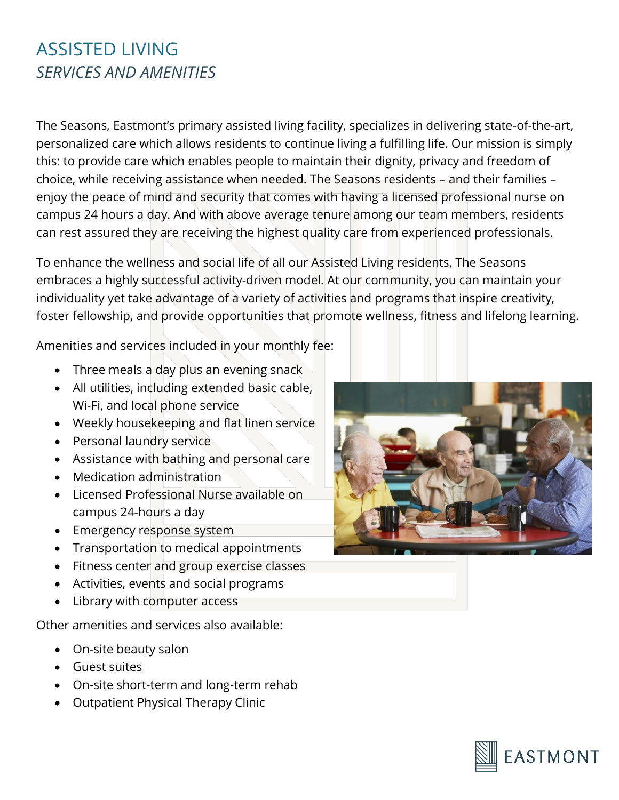# ASSISTED LIVING *SERVICES AND AMENITIES*

The Seasons, Eastmont's primary assisted living facility, specializes in delivering state-of-the-art, personalized care which allows residents to continue living a fulfilling life. Our mission is simply this: to provide care which enables people to maintain their dignity, privacy and freedom of choice, while receiving assistance when needed. The Seasons residents – and their families – enjoy the peace of mind and security that comes with having a licensed professional nurse on campus 24 hours a day. And with above average tenure among our team members, residents can rest assured they are receiving the highest quality care from experienced professionals.

To enhance the wellness and social life of all our Assisted Living residents, The Seasons embraces a highly successful activity-driven model. At our community, you can maintain your individuality yet take advantage of a variety of activities and programs that inspire creativity, foster fellowship, and provide opportunities that promote wellness, fitness and lifelong learning.

Amenities and services included in your monthly fee:

- Three meals a day plus an evening snack
- All utilities, including extended basic cable, Wi-Fi, and local phone service
- Weekly housekeeping and flat linen service
- Personal laundry service
- Assistance with bathing and personal care
- Medication administration
- Licensed Professional Nurse available on campus 24-hours a day
- Emergency response system
- Transportation to medical appointments
- Fitness center and group exercise classes
- Activities, events and social programs
- Library with computer access

Other amenities and services also available:

- On-site beauty salon
- Guest suites
- On-site short-term and long-term rehab
- Outpatient Physical Therapy Clinic



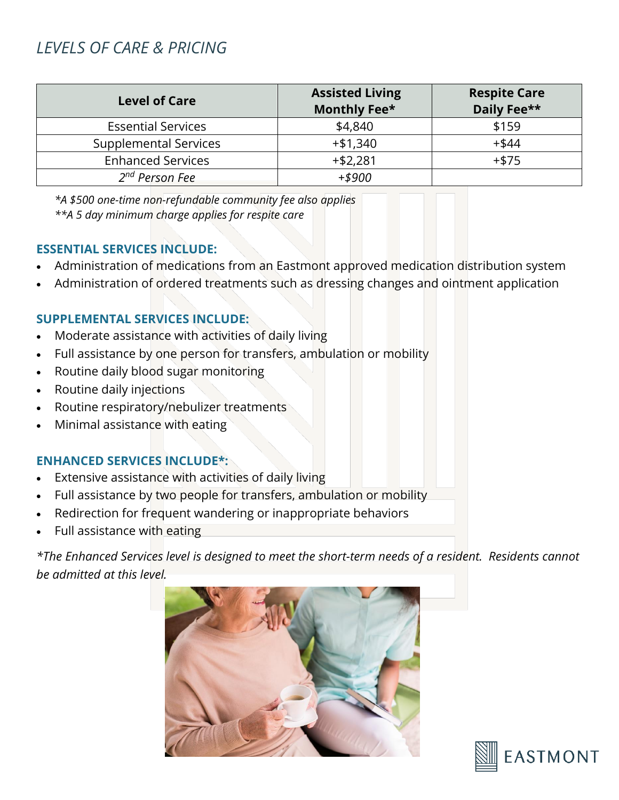# *LEVELS OF CARE & PRICING*

| <b>Level of Care</b>         | <b>Assisted Living</b><br>Monthly Fee* | <b>Respite Care</b><br>Daily Fee** |
|------------------------------|----------------------------------------|------------------------------------|
| <b>Essential Services</b>    | \$4,840                                | \$159                              |
| <b>Supplemental Services</b> | $+ $1,340$                             | $+$ \$44                           |
| <b>Enhanced Services</b>     | $+ $2,281$                             | $+ $75$                            |
| 2 <sup>nd</sup> Person Fee   | $+ $900$                               |                                    |

*\*A \$500 one-time non-refundable community fee also applies \*\*A 5 day minimum charge applies for respite care*

#### **ESSENTIAL SERVICES INCLUDE:**

- Administration of medications from an Eastmont approved medication distribution system
- Administration of ordered treatments such as dressing changes and ointment application

## **SUPPLEMENTAL SERVICES INCLUDE:**

- Moderate assistance with activities of daily living
- Full assistance by one person for transfers, ambulation or mobility
- Routine daily blood sugar monitoring
- Routine daily injections
- Routine respiratory/nebulizer treatments
- Minimal assistance with eating

## **ENHANCED SERVICES INCLUDE\*:**

- Extensive assistance with activities of daily living
- Full assistance by two people for transfers, ambulation or mobility
- Redirection for frequent wandering or inappropriate behaviors
- Full assistance with eating

*\*The Enhanced Services level is designed to meet the short-term needs of a resident. Residents cannot be admitted at this level.* 



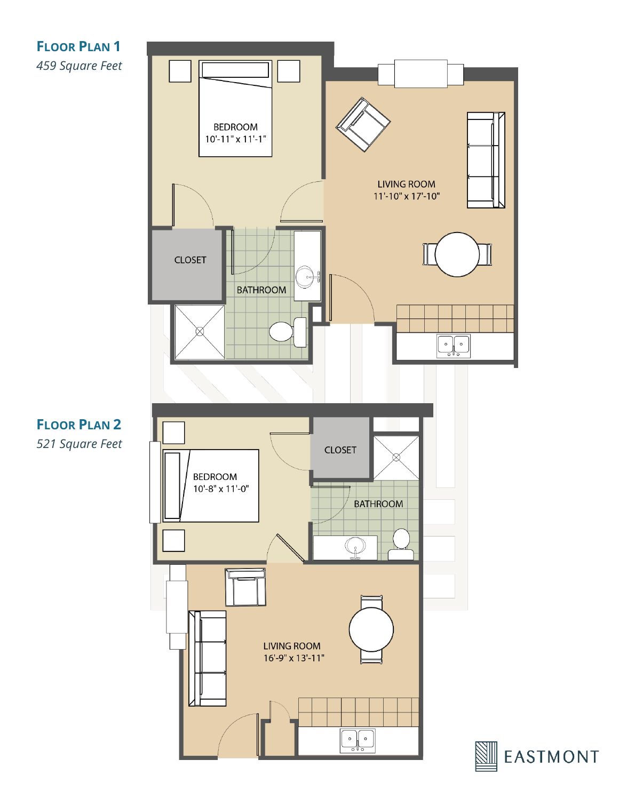